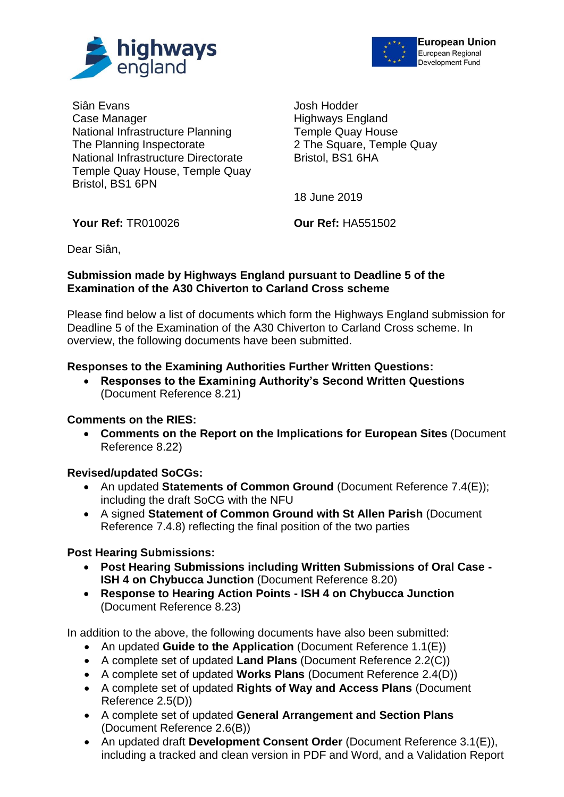



Siân Evans Case Manager National Infrastructure Planning The Planning Inspectorate National Infrastructure Directorate Temple Quay House, Temple Quay Bristol, BS1 6PN

Josh Hodder Highways England Temple Quay House 2 The Square, Temple Quay Bristol, BS1 6HA

18 June 2019

**Your Ref:** TR010026 **Our Ref:** HA551502

Dear Siân,

### **Submission made by Highways England pursuant to Deadline 5 of the Examination of the A30 Chiverton to Carland Cross scheme**

Please find below a list of documents which form the Highways England submission for Deadline 5 of the Examination of the A30 Chiverton to Carland Cross scheme. In overview, the following documents have been submitted.

### **Responses to the Examining Authorities Further Written Questions:**

• **Responses to the Examining Authority's Second Written Questions** (Document Reference 8.21)

### **Comments on the RIES:**

• **Comments on the Report on the Implications for European Sites** (Document Reference 8.22)

### **Revised/updated SoCGs:**

- An updated **Statements of Common Ground** (Document Reference 7.4(E)); including the draft SoCG with the NFU
- A signed **Statement of Common Ground with St Allen Parish** (Document Reference 7.4.8) reflecting the final position of the two parties

### **Post Hearing Submissions:**

- **Post Hearing Submissions including Written Submissions of Oral Case - ISH 4 on Chybucca Junction** (Document Reference 8.20)
- **Response to Hearing Action Points - ISH 4 on Chybucca Junction** (Document Reference 8.23)

In addition to the above, the following documents have also been submitted:

- An updated **Guide to the Application** (Document Reference 1.1(E))
- A complete set of updated **Land Plans** (Document Reference 2.2(C))
- A complete set of updated **Works Plans** (Document Reference 2.4(D))
- A complete set of updated **Rights of Way and Access Plans** (Document Reference 2.5(D))
- A complete set of updated **General Arrangement and Section Plans** (Document Reference 2.6(B))
- An updated draft **Development Consent Order** (Document Reference 3.1(E)), including a tracked and clean version in PDF and Word, and a Validation Report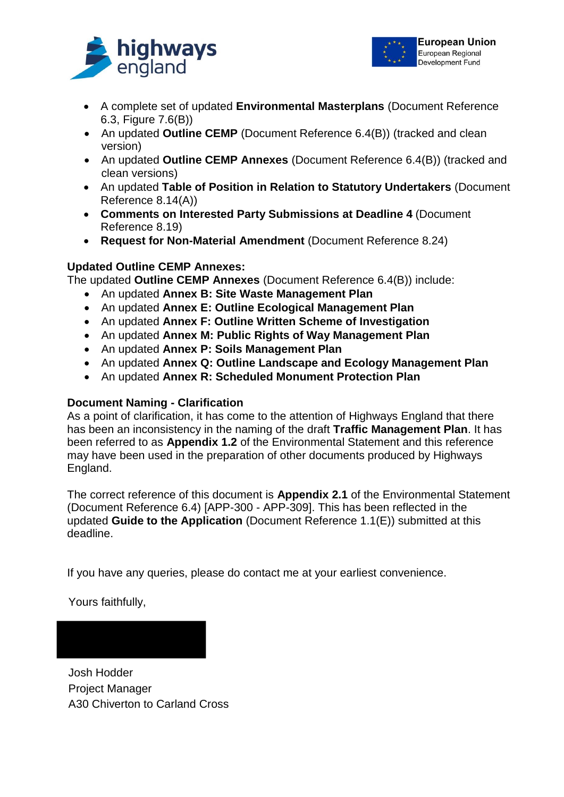



- A complete set of updated **Environmental Masterplans** (Document Reference 6.3, Figure 7.6(B))
- An updated **Outline CEMP** (Document Reference 6.4(B)) (tracked and clean version)
- An updated **Outline CEMP Annexes** (Document Reference 6.4(B)) (tracked and clean versions)
- An updated **Table of Position in Relation to Statutory Undertakers** (Document Reference 8.14(A))
- **Comments on Interested Party Submissions at Deadline 4** (Document Reference 8.19)
- **Request for Non-Material Amendment** (Document Reference 8.24)

## **Updated Outline CEMP Annexes:**

The updated **Outline CEMP Annexes** (Document Reference 6.4(B)) include:

- An updated **Annex B: Site Waste Management Plan**
- An updated **Annex E: Outline Ecological Management Plan**
- An updated **Annex F: Outline Written Scheme of Investigation**
- An updated **Annex M: Public Rights of Way Management Plan**
- An updated **Annex P: Soils Management Plan**
- An updated **Annex Q: Outline Landscape and Ecology Management Plan**
- An updated **Annex R: Scheduled Monument Protection Plan**

# **Document Naming - Clarification**

As a point of clarification, it has come to the attention of Highways England that there has been an inconsistency in the naming of the draft **Traffic Management Plan**. It has been referred to as **Appendix 1.2** of the Environmental Statement and this reference may have been used in the preparation of other documents produced by Highways England.

The correct reference of this document is **Appendix 2.1** of the Environmental Statement (Document Reference 6.4) [APP-300 - APP-309]. This has been reflected in the updated **Guide to the Application** (Document Reference 1.1(E)) submitted at this deadline.

If you have any queries, please do contact me at your earliest convenience.

Yours faithfully,

Josh Hodder Project Manager A30 Chiverton to Carland Cross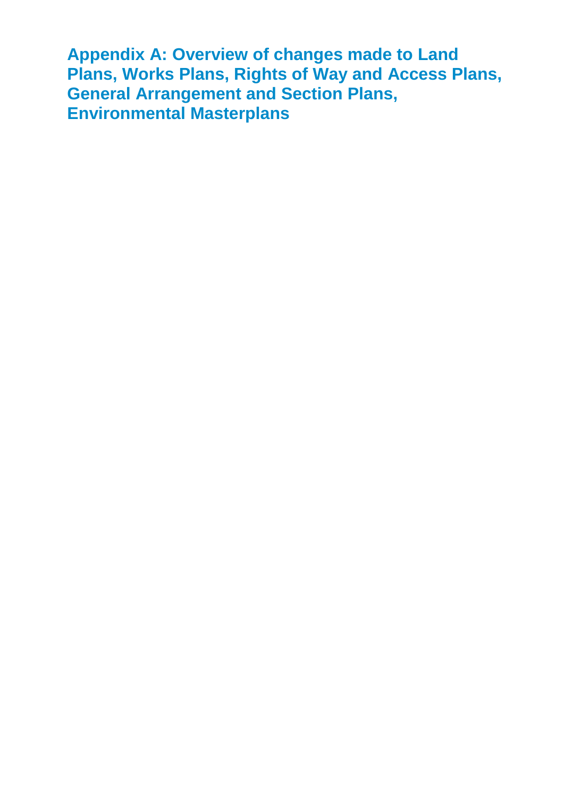**Appendix A: Overview of changes made to Land Plans, Works Plans, Rights of Way and Access Plans, General Arrangement and Section Plans, Environmental Masterplans**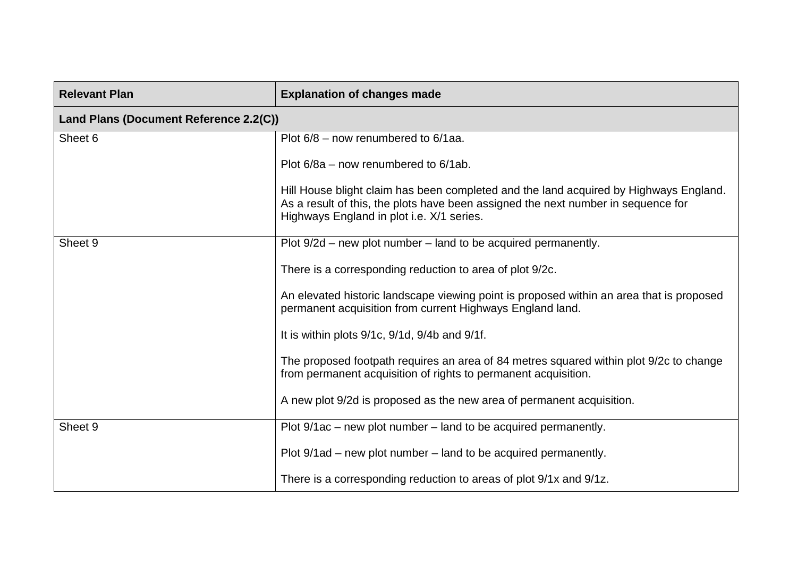| <b>Relevant Plan</b>                   | <b>Explanation of changes made</b>                                                                                                                                                                                      |
|----------------------------------------|-------------------------------------------------------------------------------------------------------------------------------------------------------------------------------------------------------------------------|
| Land Plans (Document Reference 2.2(C)) |                                                                                                                                                                                                                         |
| Sheet 6                                | Plot 6/8 - now renumbered to 6/1aa.                                                                                                                                                                                     |
|                                        | Plot 6/8a - now renumbered to 6/1ab.                                                                                                                                                                                    |
|                                        | Hill House blight claim has been completed and the land acquired by Highways England.<br>As a result of this, the plots have been assigned the next number in sequence for<br>Highways England in plot i.e. X/1 series. |
| Sheet 9                                | Plot 9/2d – new plot number – land to be acquired permanently.                                                                                                                                                          |
|                                        | There is a corresponding reduction to area of plot 9/2c.                                                                                                                                                                |
|                                        | An elevated historic landscape viewing point is proposed within an area that is proposed<br>permanent acquisition from current Highways England land.                                                                   |
|                                        | It is within plots 9/1c, 9/1d, 9/4b and 9/1f.                                                                                                                                                                           |
|                                        | The proposed footpath requires an area of 84 metres squared within plot 9/2c to change<br>from permanent acquisition of rights to permanent acquisition.                                                                |
|                                        | A new plot 9/2d is proposed as the new area of permanent acquisition.                                                                                                                                                   |
| Sheet 9                                | Plot 9/1ac – new plot number – land to be acquired permanently.                                                                                                                                                         |
|                                        | Plot 9/1 ad – new plot number – land to be acquired permanently.                                                                                                                                                        |
|                                        | There is a corresponding reduction to areas of plot 9/1x and 9/1z.                                                                                                                                                      |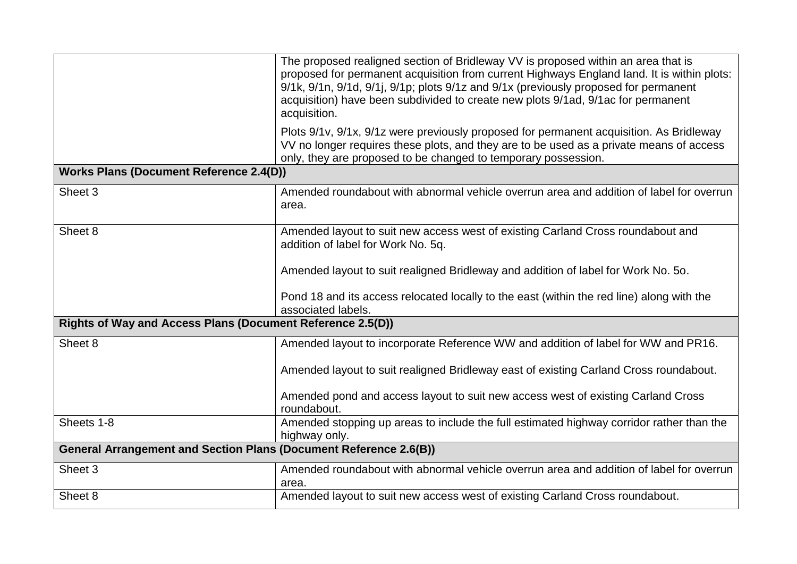|                                                                          | The proposed realigned section of Bridleway VV is proposed within an area that is<br>proposed for permanent acquisition from current Highways England land. It is within plots:<br>9/1k, 9/1n, 9/1d, 9/1j, 9/1p; plots 9/1z and 9/1x (previously proposed for permanent<br>acquisition) have been subdivided to create new plots 9/1ad, 9/1ac for permanent<br>acquisition. |  |
|--------------------------------------------------------------------------|-----------------------------------------------------------------------------------------------------------------------------------------------------------------------------------------------------------------------------------------------------------------------------------------------------------------------------------------------------------------------------|--|
|                                                                          | Plots 9/1v, 9/1x, 9/1z were previously proposed for permanent acquisition. As Bridleway<br>VV no longer requires these plots, and they are to be used as a private means of access<br>only, they are proposed to be changed to temporary possession.                                                                                                                        |  |
| <b>Works Plans (Document Reference 2.4(D))</b>                           |                                                                                                                                                                                                                                                                                                                                                                             |  |
| Sheet 3                                                                  | Amended roundabout with abnormal vehicle overrun area and addition of label for overrun<br>area.                                                                                                                                                                                                                                                                            |  |
| Sheet 8                                                                  | Amended layout to suit new access west of existing Carland Cross roundabout and<br>addition of label for Work No. 5q.                                                                                                                                                                                                                                                       |  |
|                                                                          | Amended layout to suit realigned Bridleway and addition of label for Work No. 50.                                                                                                                                                                                                                                                                                           |  |
|                                                                          | Pond 18 and its access relocated locally to the east (within the red line) along with the<br>associated labels.                                                                                                                                                                                                                                                             |  |
| Rights of Way and Access Plans (Document Reference 2.5(D))               |                                                                                                                                                                                                                                                                                                                                                                             |  |
| Sheet 8                                                                  | Amended layout to incorporate Reference WW and addition of label for WW and PR16.                                                                                                                                                                                                                                                                                           |  |
|                                                                          | Amended layout to suit realigned Bridleway east of existing Carland Cross roundabout.                                                                                                                                                                                                                                                                                       |  |
|                                                                          | Amended pond and access layout to suit new access west of existing Carland Cross<br>roundabout.                                                                                                                                                                                                                                                                             |  |
| Sheets 1-8                                                               | Amended stopping up areas to include the full estimated highway corridor rather than the<br>highway only.                                                                                                                                                                                                                                                                   |  |
| <b>General Arrangement and Section Plans (Document Reference 2.6(B))</b> |                                                                                                                                                                                                                                                                                                                                                                             |  |
| Sheet 3                                                                  | Amended roundabout with abnormal vehicle overrun area and addition of label for overrun<br>area.                                                                                                                                                                                                                                                                            |  |
| Sheet 8                                                                  | Amended layout to suit new access west of existing Carland Cross roundabout.                                                                                                                                                                                                                                                                                                |  |